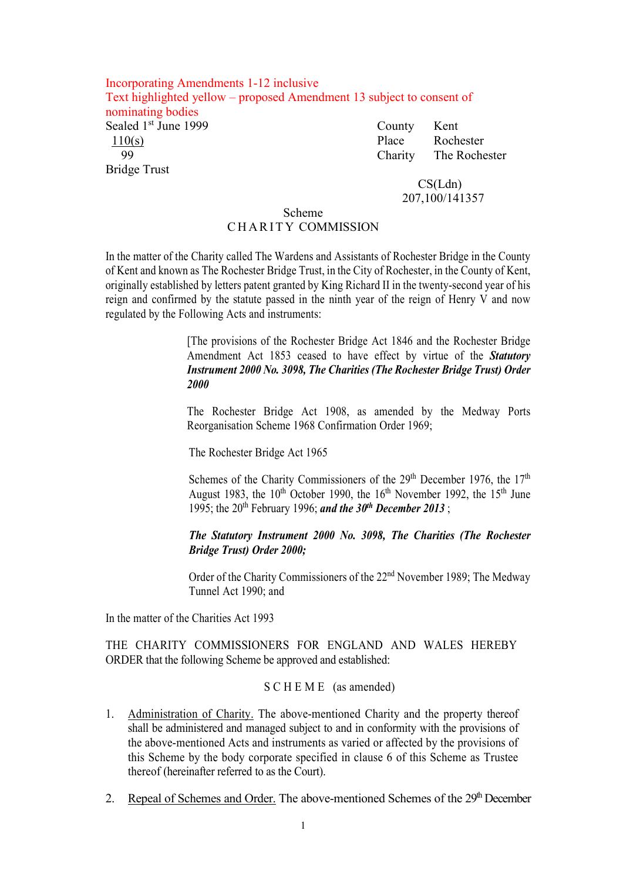#### Incorporating Amendments 1-12 inclusive Text highlighted yellow – proposed Amendment 13 subject to consent of nominating bodies Sealed 1<sup>st</sup> June 1999 County Kent 110(s) Place Rochester Charity The Rochester Bridge Trust

 CS(Ldn) 207,100/141357

#### Scheme CHARITY COMMISSION

In the matter of the Charity called The Wardens and Assistants of Rochester Bridge in the County of Kent and known as The Rochester Bridge Trust, in the City of Rochester, in the County of Kent, originally established by letters patent granted by King Richard II in the twenty-second year of his reign and confirmed by the statute passed in the ninth year of the reign of Henry V and now regulated by the Following Acts and instruments:

> [The provisions of the Rochester Bridge Act 1846 and the Rochester Bridge Amendment Act 1853 ceased to have effect by virtue of the *Statutory Instrument 2000 No. 3098, The Charities (The Rochester Bridge Trust) Order 2000*

> The Rochester Bridge Act 1908, as amended by the Medway Ports Reorganisation Scheme 1968 Confirmation Order 1969;

The Rochester Bridge Act 1965

Schemes of the Charity Commissioners of the  $29<sup>th</sup>$  December 1976, the  $17<sup>th</sup>$ August 1983, the  $10^{th}$  October 1990, the  $16^{th}$  November 1992, the  $15^{th}$  June 1995; the 20th February 1996; *and the 30th December 2013* ;

*The Statutory Instrument 2000 No. 3098, The Charities (The Rochester Bridge Trust) Order 2000;*

Order of the Charity Commissioners of the 22<sup>nd</sup> November 1989; The Medway Tunnel Act 1990; and

In the matter of the Charities Act 1993

THE CHARITY COMMISSIONERS FOR ENGLAND AND WALES HEREBY ORDER that the following Scheme be approved and established:

#### S C H E M E (as amended)

- 1. Administration of Charity. The above-mentioned Charity and the property thereof shall be administered and managed subject to and in conformity with the provisions of the above-mentioned Acts and instruments as varied or affected by the provisions of this Scheme by the body corporate specified in clause 6 of this Scheme as Trustee thereof (hereinafter referred to as the Court).
- 2. Repeal of Schemes and Order. The above-mentioned Schemes of the  $29<sup>th</sup>$  December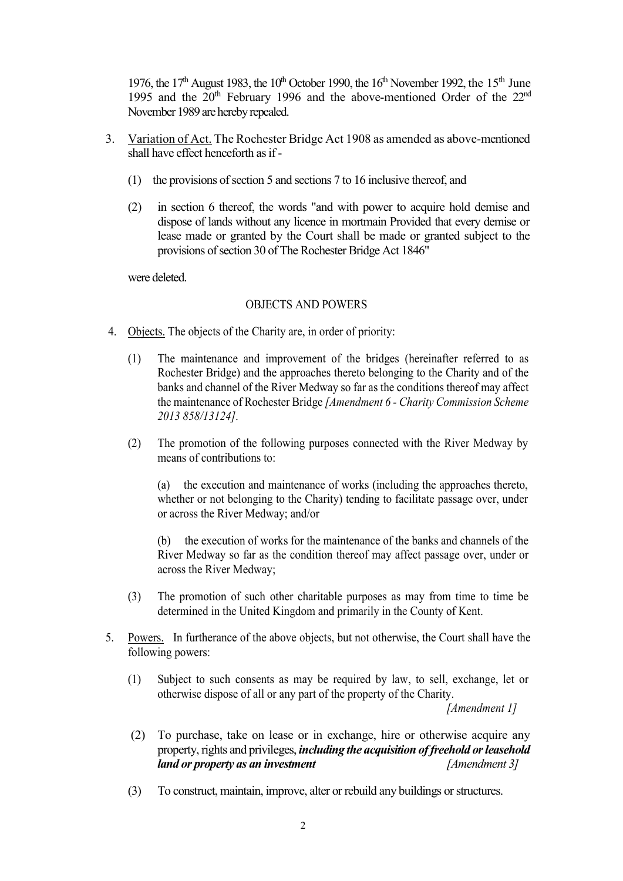1976, the  $17<sup>th</sup>$  August 1983, the  $10<sup>th</sup>$  October 1990, the  $16<sup>th</sup>$  November 1992, the  $15<sup>th</sup>$  June 1995 and the  $20<sup>th</sup>$  February 1996 and the above-mentioned Order of the  $22<sup>nd</sup>$ November 1989 are hereby repealed.

- 3. Variation of Act. The Rochester Bridge Act 1908 as amended as above-mentioned shall have effect henceforth as if -
	- (1) the provisions of section 5 and sections 7 to 16 inclusive thereof, and
	- (2) in section 6 thereof, the words "and with power to acquire hold demise and dispose of lands without any licence in mortmain Provided that every demise or lease made or granted by the Court shall be made or granted subject to the provisions of section 30 of The Rochester Bridge Act 1846"

were deleted.

#### OBJECTS AND POWERS

- 4. Objects. The objects of the Charity are, in order of priority:
	- (1) The maintenance and improvement of the bridges (hereinafter referred to as Rochester Bridge) and the approaches thereto belonging to the Charity and of the banks and channel of the River Medway so far as the conditions thereof may affect the maintenance of Rochester Bridge *[Amendment 6 - Charity Commission Scheme 2013 858/13124]*.
	- (2) The promotion of the following purposes connected with the River Medway by means of contributions to:

(a) the execution and maintenance of works (including the approaches thereto, whether or not belonging to the Charity) tending to facilitate passage over, under or across the River Medway; and/or

(b) the execution of works for the maintenance of the banks and channels of the River Medway so far as the condition thereof may affect passage over, under or across the River Medway;

- (3) The promotion of such other charitable purposes as may from time to time be determined in the United Kingdom and primarily in the County of Kent.
- 5. Powers. In furtherance of the above objects, but not otherwise, the Court shall have the following powers:
	- (1) Subject to such consents as may be required by law, to sell, exchange, let or otherwise dispose of all or any part of the property of the Charity. *[Amendment 1]*
	- (2) To purchase, take on lease or in exchange, hire or otherwise acquire any property, rights and privileges, *including the acquisition of freehold or leasehold land or property as an investment [Amendment 3]*
	- (3) To construct, maintain, improve, alter or rebuild any buildings or structures.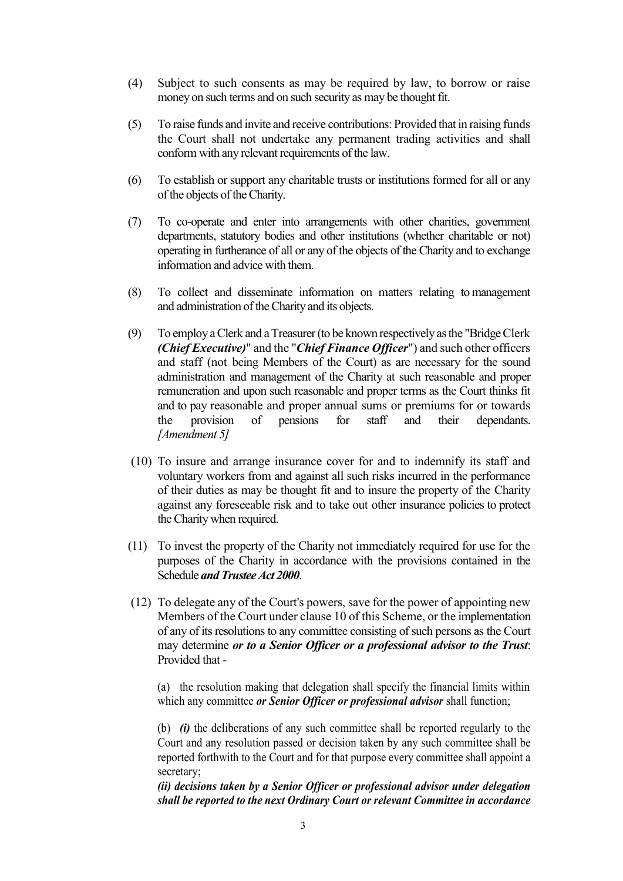- (4) Subject to such consents as may be required by law, to borrow or raise money on such terms and on such security as may be thought fit.
- (5) To raise funds and invite and receive contributions: Provided that in raising funds the Court shall not undertake any permanent trading activities and shall conform with any relevant requirements of the law.
- (6) To establish or support any charitable trusts or institutions formed for all or any of the objects of the Charity.
- (7) To co-operate and enter into arrangements with other charities, government departments, statutory bodies and other institutions (whether charitable or not) operating in furtherance of all or any of the objects of the Charity and to exchange information and advice with them.
- (8) To collect and disseminate information on matters relating to management and administration of the Charity and its objects.
- (9) To employ a Clerk and a Treasurer (to be known respectively as the "Bridge Clerk *(Chief Executive)*" and the "*Chief Finance Officer*") and such other officers and staff (not being Members of the Court) as are necessary for the sound administration and management of the Charity at such reasonable and proper remuneration and upon such reasonable and proper terms as the Court thinks fit and to pay reasonable and proper annual sums or premiums for or towards the provision of pensions for staff and their dependants. *[Amendment 5]*
- (10) To insure and arrange insurance cover for and to indemnify its staff and voluntary workers from and against all such risks incurred in the performance of their duties as may be thought fit and to insure the property of the Charity against any foreseeable risk and to take out other insurance policies to protect the Charity when required.
- (11) To invest the property of the Charity not immediately required for use for the purposes of the Charity in accordance with the provisions contained in the Schedule *and Trustee Act 2000*.
- (12) To delegate any of the Court's powers, save for the power of appointing new Members of the Court under clause 10 of this Scheme, or the implementation of any of its resolutions to any committee consisting of such persons as the Court may determine *or to a Senior Officer or a professional advisor to the Trust*: Provided that -

(a) the resolution making that delegation shall specify the financial limits within which any committee *or Senior Officer or professional advisor* shall function;

(b) *(i)* the deliberations of any such committee shall be reported regularly to the Court and any resolution passed or decision taken by any such committee shall be reported forthwith to the Court and for that purpose every committee shall appoint a secretary;

*(ii) decisions taken by a Senior Officer or professional advisor under delegation shall be reported to the next Ordinary Court or relevant Committee in accordance*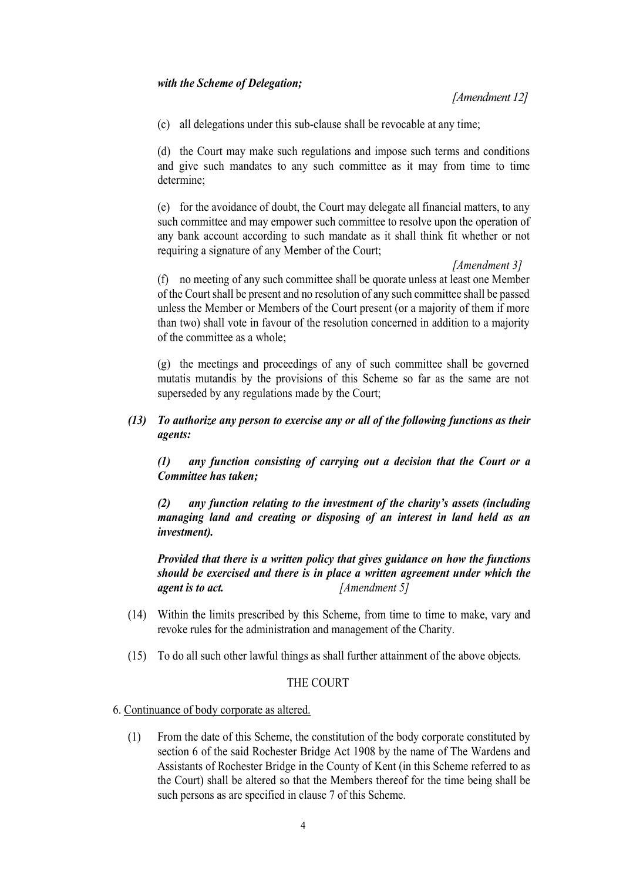*[Amendment 12]*

(c) all delegations under this sub-clause shall be revocable at any time;

(d) the Court may make such regulations and impose such terms and conditions and give such mandates to any such committee as it may from time to time determine;

(e) for the avoidance of doubt, the Court may delegate all financial matters, to any such committee and may empower such committee to resolve upon the operation of any bank account according to such mandate as it shall think fit whether or not requiring a signature of any Member of the Court;

*[Amendment 3]* (f) no meeting of any such committee shall be quorate unless at least one Member of the Court shall be present and no resolution of any such committee shall be passed unless the Member or Members of the Court present (or a majority of them if more than two) shall vote in favour of the resolution concerned in addition to a majority of the committee as a whole;

(g) the meetings and proceedings of any of such committee shall be governed mutatis mutandis by the provisions of this Scheme so far as the same are not superseded by any regulations made by the Court;

*(13) To authorize any person to exercise any or all of the following functions as their agents:*

*(1) any function consisting of carrying out a decision that the Court or a Committee has taken;*

*(2) any function relating to the investment of the charity's assets (including managing land and creating or disposing of an interest in land held as an investment).*

*Provided that there is a written policy that gives guidance on how the functions should be exercised and there is in place a written agreement under which the agent is to act. [Amendment 5]*

- (14) Within the limits prescribed by this Scheme, from time to time to make, vary and revoke rules for the administration and management of the Charity.
- (15) To do all such other lawful things as shall further attainment of the above objects.

#### THE COURT

#### 6. Continuance of body corporate as altered.

(1) From the date of this Scheme, the constitution of the body corporate constituted by section 6 of the said Rochester Bridge Act 1908 by the name of The Wardens and Assistants of Rochester Bridge in the County of Kent (in this Scheme referred to as the Court) shall be altered so that the Members thereof for the time being shall be such persons as are specified in clause 7 of this Scheme.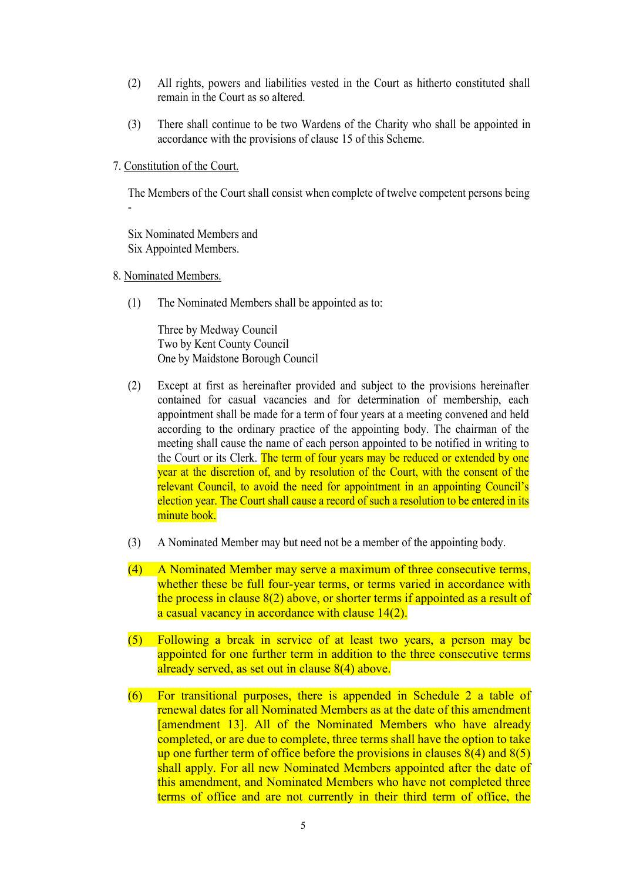- (2) All rights, powers and liabilities vested in the Court as hitherto constituted shall remain in the Court as so altered.
- (3) There shall continue to be two Wardens of the Charity who shall be appointed in accordance with the provisions of clause 15 of this Scheme.
- 7. Constitution of the Court.

The Members of the Court shall consist when complete of twelve competent persons being -

Six Nominated Members and Six Appointed Members.

- 8. Nominated Members.
	- (1) The Nominated Members shall be appointed as to:

Three by Medway Council Two by Kent County Council One by Maidstone Borough Council

- (2) Except at first as hereinafter provided and subject to the provisions hereinafter contained for casual vacancies and for determination of membership, each appointment shall be made for a term of four years at a meeting convened and held according to the ordinary practice of the appointing body. The chairman of the meeting shall cause the name of each person appointed to be notified in writing to the Court or its Clerk. The term of four years may be reduced or extended by one year at the discretion of, and by resolution of the Court, with the consent of the relevant Council, to avoid the need for appointment in an appointing Council's election year. The Court shall cause a record of such a resolution to be entered in its minute book.
- (3) A Nominated Member may but need not be a member of the appointing body.
- (4) A Nominated Member may serve a maximum of three consecutive terms, whether these be full four-year terms, or terms varied in accordance with the process in clause 8(2) above, or shorter terms if appointed as a result of a casual vacancy in accordance with clause 14(2).
- (5) Following a break in service of at least two years, a person may be appointed for one further term in addition to the three consecutive terms already served, as set out in clause 8(4) above.
- (6) For transitional purposes, there is appended in Schedule 2 a table of renewal dates for all Nominated Members as at the date of this amendment [amendment 13]. All of the Nominated Members who have already completed, or are due to complete, three terms shall have the option to take up one further term of office before the provisions in clauses  $8(4)$  and  $8(5)$ shall apply. For all new Nominated Members appointed after the date of this amendment, and Nominated Members who have not completed three terms of office and are not currently in their third term of office, the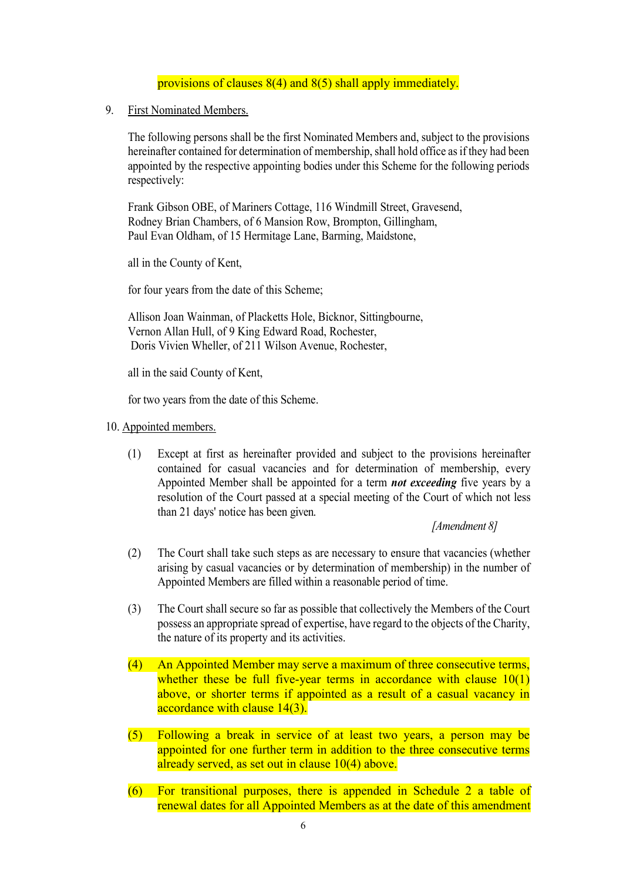#### provisions of clauses 8(4) and 8(5) shall apply immediately.

9. First Nominated Members.

The following persons shall be the first Nominated Members and, subject to the provisions hereinafter contained for determination of membership, shall hold office as if they had been appointed by the respective appointing bodies under this Scheme for the following periods respectively:

Frank Gibson OBE, of Mariners Cottage, 116 Windmill Street, Gravesend, Rodney Brian Chambers, of 6 Mansion Row, Brompton, Gillingham, Paul Evan Oldham, of 15 Hermitage Lane, Barming, Maidstone,

all in the County of Kent,

for four years from the date of this Scheme;

Allison Joan Wainman, of Placketts Hole, Bicknor, Sittingbourne, Vernon Allan Hull, of 9 King Edward Road, Rochester, Doris Vivien Wheller, of 211 Wilson Avenue, Rochester,

all in the said County of Kent,

for two years from the date of this Scheme.

#### 10. Appointed members.

(1) Except at first as hereinafter provided and subject to the provisions hereinafter contained for casual vacancies and for determination of membership, every Appointed Member shall be appointed for a term *not exceeding* five years by a resolution of the Court passed at a special meeting of the Court of which not less than 21 days' notice has been given.

*[Amendment 8]*

- (2) The Court shall take such steps as are necessary to ensure that vacancies (whether arising by casual vacancies or by determination of membership) in the number of Appointed Members are filled within a reasonable period of time.
- (3) The Court shall secure so far as possible that collectively the Members of the Court possess an appropriate spread of expertise, have regard to the objects of the Charity, the nature of its property and its activities.
- (4) An Appointed Member may serve a maximum of three consecutive terms, whether these be full five-year terms in accordance with clause  $10(1)$ above, or shorter terms if appointed as a result of a casual vacancy in accordance with clause 14(3).
- (5) Following a break in service of at least two years, a person may be appointed for one further term in addition to the three consecutive terms already served, as set out in clause 10(4) above.
- (6) For transitional purposes, there is appended in Schedule 2 a table of renewal dates for all Appointed Members as at the date of this amendment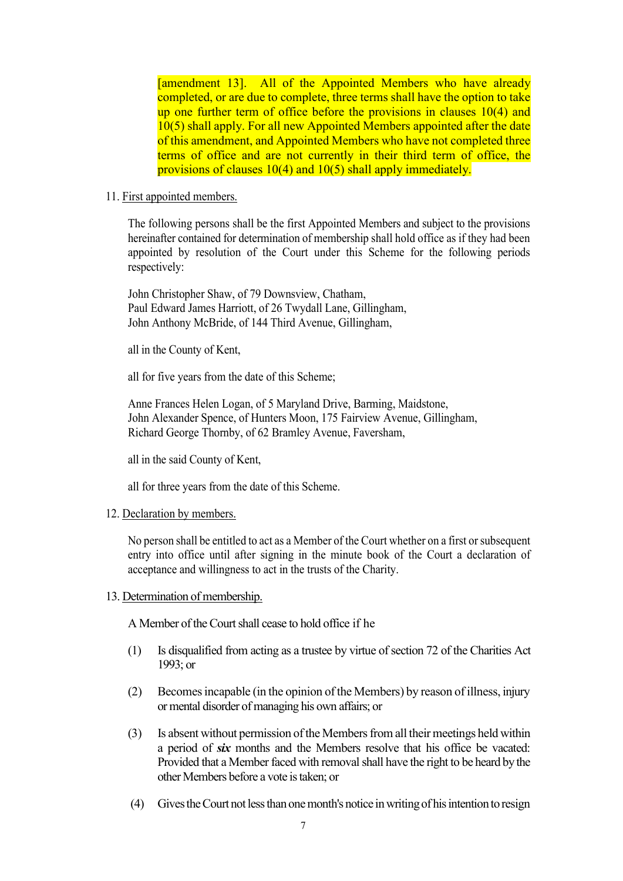[amendment 13]. All of the Appointed Members who have already completed, or are due to complete, three terms shall have the option to take up one further term of office before the provisions in clauses 10(4) and 10(5) shall apply. For all new Appointed Members appointed after the date of this amendment, and Appointed Members who have not completed three terms of office and are not currently in their third term of office, the provisions of clauses 10(4) and 10(5) shall apply immediately.

#### 11. First appointed members.

The following persons shall be the first Appointed Members and subject to the provisions hereinafter contained for determination of membership shall hold office as if they had been appointed by resolution of the Court under this Scheme for the following periods respectively:

John Christopher Shaw, of 79 Downsview, Chatham, Paul Edward James Harriott, of 26 Twydall Lane, Gillingham, John Anthony McBride, of 144 Third Avenue, Gillingham,

all in the County of Kent,

all for five years from the date of this Scheme;

Anne Frances Helen Logan, of 5 Maryland Drive, Barming, Maidstone, John Alexander Spence, of Hunters Moon, 175 Fairview Avenue, Gillingham, Richard George Thornby, of 62 Bramley Avenue, Faversham,

all in the said County of Kent,

all for three years from the date of this Scheme.

#### 12. Declaration by members.

No person shall be entitled to act as a Member of the Court whether on a first or subsequent entry into office until after signing in the minute book of the Court a declaration of acceptance and willingness to act in the trusts of the Charity.

#### 13. Determination of membership.

A Member of the Court shall cease to hold office if he

- (1) Is disqualified from acting as a trustee by virtue of section 72 of the Charities Act 1993; or
- (2) Becomes incapable (in the opinion of the Members) by reason of illness, injury or mental disorder of managing his own affairs; or
- (3) Is absent without permission of the Members from all their meetings held within a period of *six* months and the Members resolve that his office be vacated: Provided that a Member faced with removal shall have the right to be heard by the other Members before a vote is taken; or
- (4) Gives the Court not less than one month's notice in writing of his intention to resign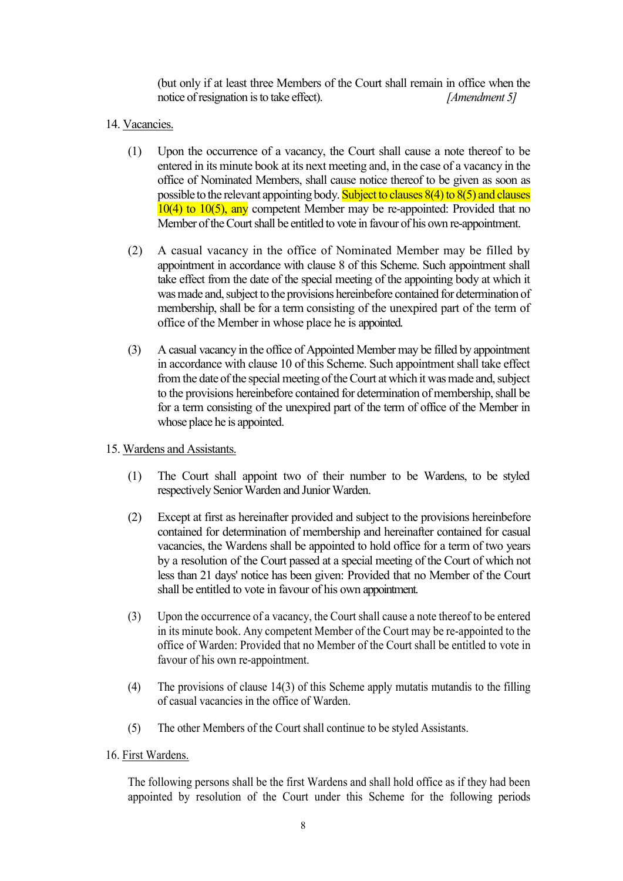(but only if at least three Members of the Court shall remain in office when the notice of resignation is to take effect). *[Amendment 5]*

- 14. Vacancies.
	- (1) Upon the occurrence of a vacancy, the Court shall cause a note thereof to be entered in its minute book at its next meeting and, in the case of a vacancy in the office of Nominated Members, shall cause notice thereof to be given as soon as possible to the relevant appointing body. Subject to clauses  $8(4)$  to  $8(5)$  and clauses  $10(4)$  to  $10(5)$ , any competent Member may be re-appointed: Provided that no Member of the Court shall be entitled to vote in favour of his own re-appointment.
	- (2) A casual vacancy in the office of Nominated Member may be filled by appointment in accordance with clause 8 of this Scheme. Such appointment shall take effect from the date of the special meeting of the appointing body at which it was made and, subject to the provisions hereinbefore contained for determination of membership, shall be for a term consisting of the unexpired part of the term of office of the Member in whose place he is appointed.
	- (3) A casual vacancy in the office of Appointed Member may be filled by appointment in accordance with clause 10 of this Scheme. Such appointment shall take effect from the date of the special meeting of the Court at which it was made and, subject to the provisions hereinbefore contained for determination of membership, shall be for a term consisting of the unexpired part of the term of office of the Member in whose place he is appointed.
- 15. Wardens and Assistants.
	- (1) The Court shall appoint two of their number to be Wardens, to be styled respectively Senior Warden and Junior Warden.
	- (2) Except at first as hereinafter provided and subject to the provisions hereinbefore contained for determination of membership and hereinafter contained for casual vacancies, the Wardens shall be appointed to hold office for a term of two years by a resolution of the Court passed at a special meeting of the Court of which not less than 21 days' notice has been given: Provided that no Member of the Court shall be entitled to vote in favour of his own appointment.
	- (3) Upon the occurrence of a vacancy, the Court shall cause a note thereof to be entered in its minute book. Any competent Member of the Court may be re-appointed to the office of Warden: Provided that no Member of the Court shall be entitled to vote in favour of his own re-appointment.
	- (4) The provisions of clause 14(3) of this Scheme apply mutatis mutandis to the filling of casual vacancies in the office of Warden.
	- (5) The other Members of the Court shall continue to be styled Assistants.
- 16. First Wardens.

The following persons shall be the first Wardens and shall hold office as if they had been appointed by resolution of the Court under this Scheme for the following periods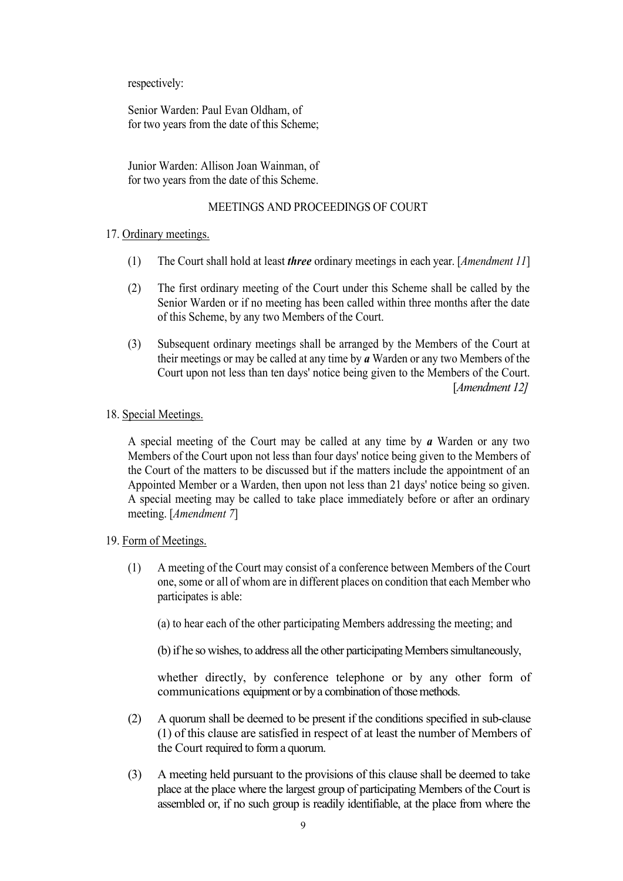respectively:

Senior Warden: Paul Evan Oldham, of for two years from the date of this Scheme;

Junior Warden: Allison Joan Wainman, of for two years from the date of this Scheme.

#### MEETINGS AND PROCEEDINGS OF COURT

#### 17. Ordinary meetings.

- (1) The Court shall hold at least *three* ordinary meetings in each year. [*Amendment 11*]
- (2) The first ordinary meeting of the Court under this Scheme shall be called by the Senior Warden or if no meeting has been called within three months after the date of this Scheme, by any two Members of the Court.
- (3) Subsequent ordinary meetings shall be arranged by the Members of the Court at their meetings or may be called at any time by *a* Warden or any two Members of the Court upon not less than ten days' notice being given to the Members of the Court. [*Amendment 12]*

#### 18. Special Meetings.

A special meeting of the Court may be called at any time by *a* Warden or any two Members of the Court upon not less than four days' notice being given to the Members of the Court of the matters to be discussed but if the matters include the appointment of an Appointed Member or a Warden, then upon not less than 21 days' notice being so given. A special meeting may be called to take place immediately before or after an ordinary meeting. [*Amendment 7*]

#### 19. Form of Meetings.

(1) A meeting of the Court may consist of a conference between Members of the Court one, some or all of whom are in different places on condition that each Member who participates is able:

(a) to hear each of the other participating Members addressing the meeting; and

(b) if he so wishes, to address all the other participating Members simultaneously,

whether directly, by conference telephone or by any other form of communications equipment or by a combination of those methods.

- (2) A quorum shall be deemed to be present if the conditions specified in sub-clause (1) of this clause are satisfied in respect of at least the number of Members of the Court required to form a quorum.
- (3) A meeting held pursuant to the provisions of this clause shall be deemed to take place at the place where the largest group of participating Members of the Court is assembled or, if no such group is readily identifiable, at the place from where the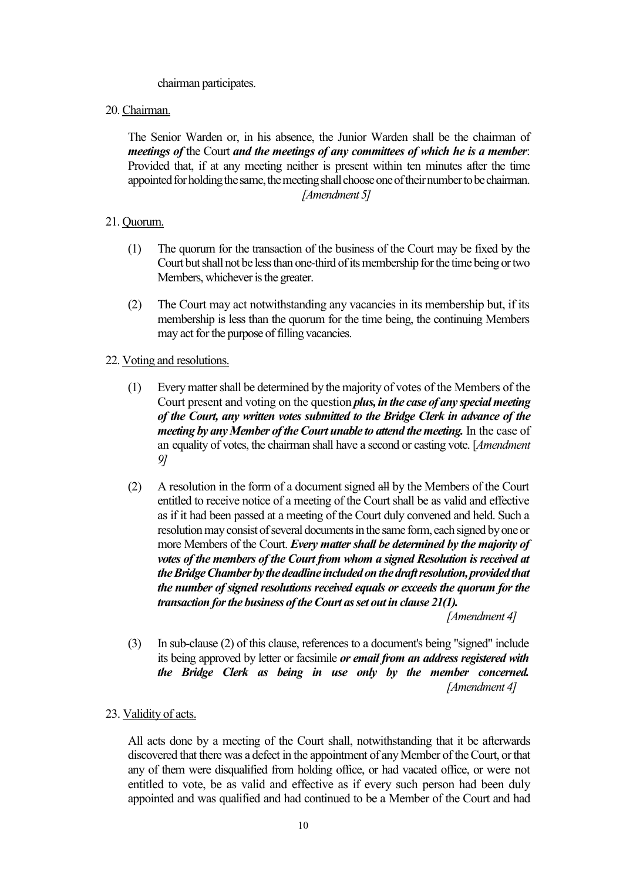chairman participates.

20. Chairman.

The Senior Warden or, in his absence, the Junior Warden shall be the chairman of *meetings of* the Court *and the meetings of any committees of which he is a member*: Provided that, if at any meeting neither is present within ten minutes after the time appointed for holding the same, the meeting shall choose one of their number to be chairman. *[Amendment 5]* 

#### 21. Quorum.

- (1) The quorum for the transaction of the business of the Court may be fixed by the Court but shall not be less than one-third of its membership for the time being or two Members, whichever is the greater.
- (2) The Court may act notwithstanding any vacancies in its membership but, if its membership is less than the quorum for the time being, the continuing Members may act for the purpose of filling vacancies.
- 22. Voting and resolutions.
	- (1) Every matter shall be determined by the majority of votes of the Members of the Court present and voting on the question *plus, in the case of any special meeting of the Court, any written votes submitted to the Bridge Clerk in advance of the meeting by any Member of the Court unable to attend the meeting.* In the case of an equality of votes, the chairman shall have a second or casting vote. [*Amendment 9]*
	- (2) A resolution in the form of a document signed all by the Members of the Court entitled to receive notice of a meeting of the Court shall be as valid and effective as if it had been passed at a meeting of the Court duly convened and held. Such a resolution may consist of several documents in the same form, each signed by one or more Members of the Court. *Every matter shall be determined by the majority of votes of the members of the Court from whom a signed Resolution is received at the Bridge Chamber by the deadline included on the draft resolution, provided that the number of signed resolutions received equals or exceeds the quorum for the transaction for the business of the Court as set out in clause 21(1).*

*[Amendment 4]*

(3) In sub-clause (2) of this clause, references to a document's being "signed" include its being approved by letter or facsimile *or email from an address registered with the Bridge Clerk as being in use only by the member concerned. [Amendment 4]*

#### 23. Validity of acts.

All acts done by a meeting of the Court shall, notwithstanding that it be afterwards discovered that there was a defect in the appointment of any Member of the Court, or that any of them were disqualified from holding office, or had vacated office, or were not entitled to vote, be as valid and effective as if every such person had been duly appointed and was qualified and had continued to be a Member of the Court and had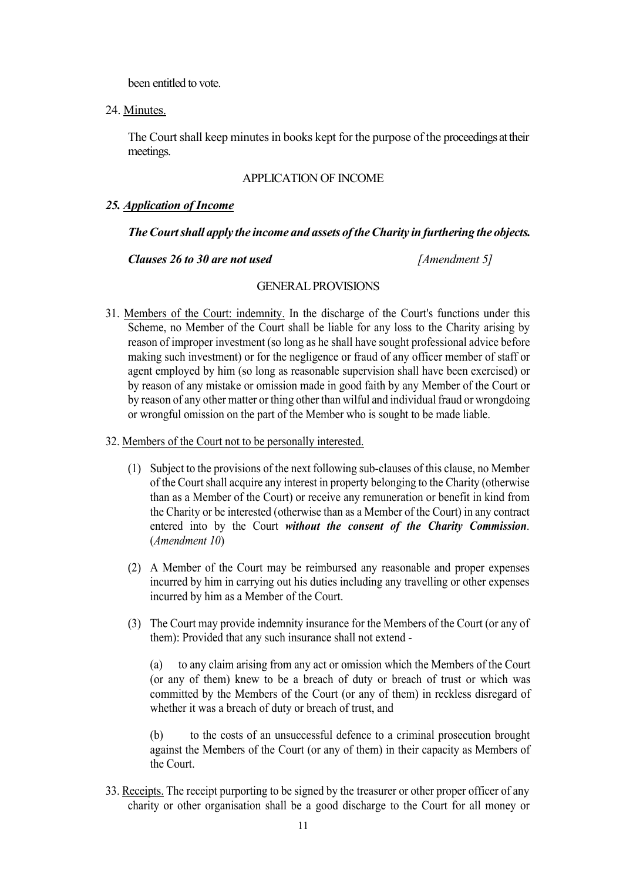been entitled to vote.

24. Minutes.

The Court shall keep minutes in books kept for the purpose of the proceedings at their meetings.

#### APPLICATION OF INCOME

#### *25. Application of Income*

#### *The Court shall apply the income and assets of the Charity in furthering the objects.*

*Clauses 26 to 30 are not used [Amendment 5]* 

#### GENERAL PROVISIONS

31. Members of the Court: indemnity. In the discharge of the Court's functions under this Scheme, no Member of the Court shall be liable for any loss to the Charity arising by reason of improper investment (so long as he shall have sought professional advice before making such investment) or for the negligence or fraud of any officer member of staff or agent employed by him (so long as reasonable supervision shall have been exercised) or by reason of any mistake or omission made in good faith by any Member of the Court or by reason of any other matter or thing other than wilful and individual fraud or wrongdoing or wrongful omission on the part of the Member who is sought to be made liable.

#### 32. Members of the Court not to be personally interested.

- (1) Subject to the provisions of the next following sub-clauses of this clause, no Member of the Court shall acquire any interest in property belonging to the Charity (otherwise than as a Member of the Court) or receive any remuneration or benefit in kind from the Charity or be interested (otherwise than as a Member of the Court) in any contract entered into by the Court *without the consent of the Charity Commission*. (*Amendment 10*)
- (2) A Member of the Court may be reimbursed any reasonable and proper expenses incurred by him in carrying out his duties including any travelling or other expenses incurred by him as a Member of the Court.
- (3) The Court may provide indemnity insurance for the Members of the Court (or any of them): Provided that any such insurance shall not extend -

(a) to any claim arising from any act or omission which the Members of the Court (or any of them) knew to be a breach of duty or breach of trust or which was committed by the Members of the Court (or any of them) in reckless disregard of whether it was a breach of duty or breach of trust, and

(b) to the costs of an unsuccessful defence to a criminal prosecution brought against the Members of the Court (or any of them) in their capacity as Members of the Court.

33. Receipts. The receipt purporting to be signed by the treasurer or other proper officer of any charity or other organisation shall be a good discharge to the Court for all money or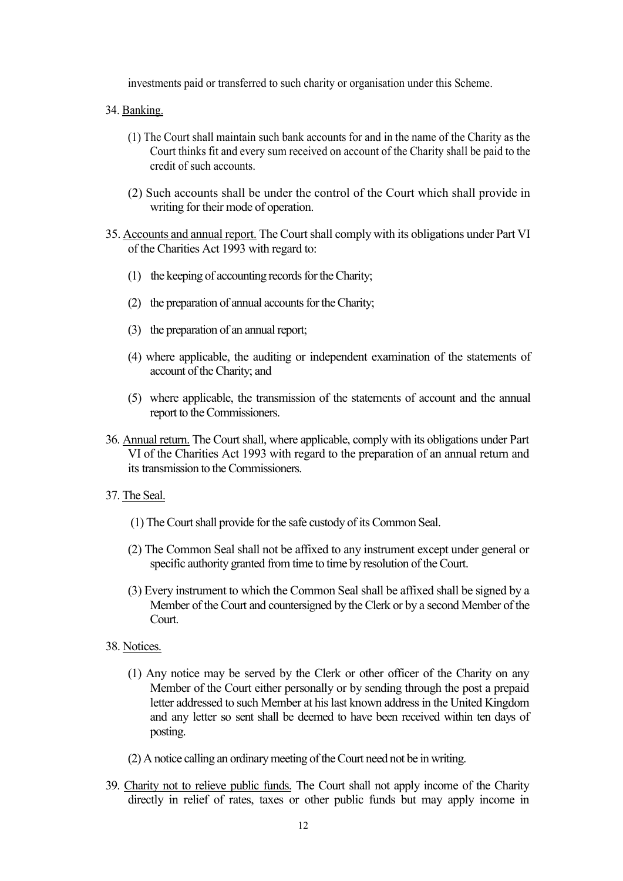investments paid or transferred to such charity or organisation under this Scheme.

- 34. Banking.
	- (1) The Court shall maintain such bank accounts for and in the name of the Charity as the Court thinks fit and every sum received on account of the Charity shall be paid to the credit of such accounts.
	- (2) Such accounts shall be under the control of the Court which shall provide in writing for their mode of operation.
- 35. Accounts and annual report. The Court shall comply with its obligations under Part VI of the Charities Act 1993 with regard to:
	- (1) the keeping of accounting records for the Charity;
	- (2) the preparation of annual accounts for the Charity;
	- (3) the preparation of an annual report;
	- (4) where applicable, the auditing or independent examination of the statements of account of the Charity; and
	- (5) where applicable, the transmission of the statements of account and the annual report to the Commissioners.
- 36. Annual return. The Court shall, where applicable, comply with its obligations under Part VI of the Charities Act 1993 with regard to the preparation of an annual return and its transmission to the Commissioners.
- 37. The Seal.
	- (1) The Court shall provide for the safe custody of its Common Seal.
	- (2) The Common Seal shall not be affixed to any instrument except under general or specific authority granted from time to time by resolution of the Court.
	- (3) Every instrument to which the Common Seal shall be affixed shall be signed by a Member of the Court and countersigned by the Clerk or by a second Member of the Court.
- 38. Notices.
	- (1) Any notice may be served by the Clerk or other officer of the Charity on any Member of the Court either personally or by sending through the post a prepaid letter addressed to such Member at his last known address in the United Kingdom and any letter so sent shall be deemed to have been received within ten days of posting.
	- (2) A notice calling an ordinary meeting of the Court need not be in writing.
- 39. Charity not to relieve public funds. The Court shall not apply income of the Charity directly in relief of rates, taxes or other public funds but may apply income in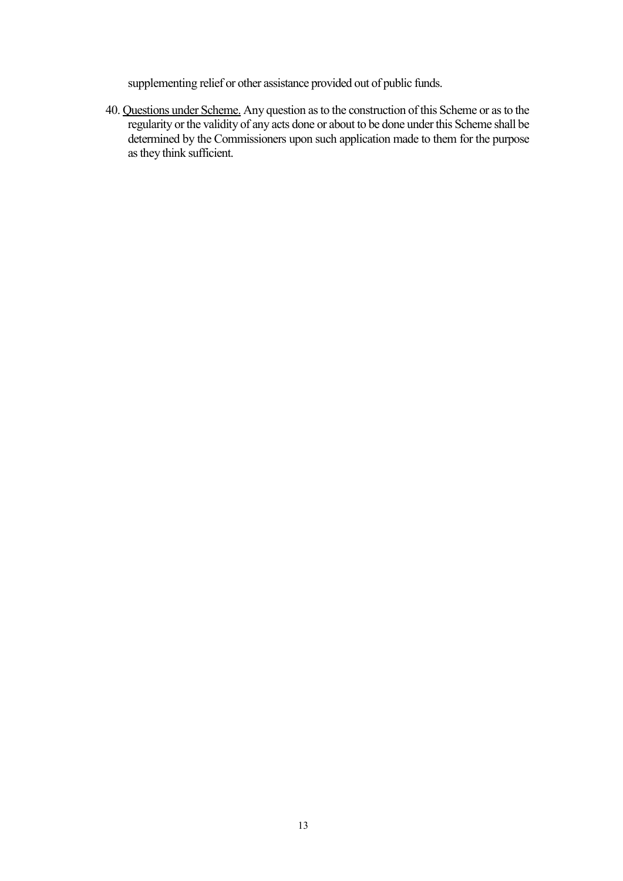supplementing relief or other assistance provided out of public funds.

40. Questions under Scheme. Any question as to the construction of this Scheme or as to the regularity or the validity of any acts done or about to be done under this Scheme shall be determined by the Commissioners upon such application made to them for the purpose as they think sufficient.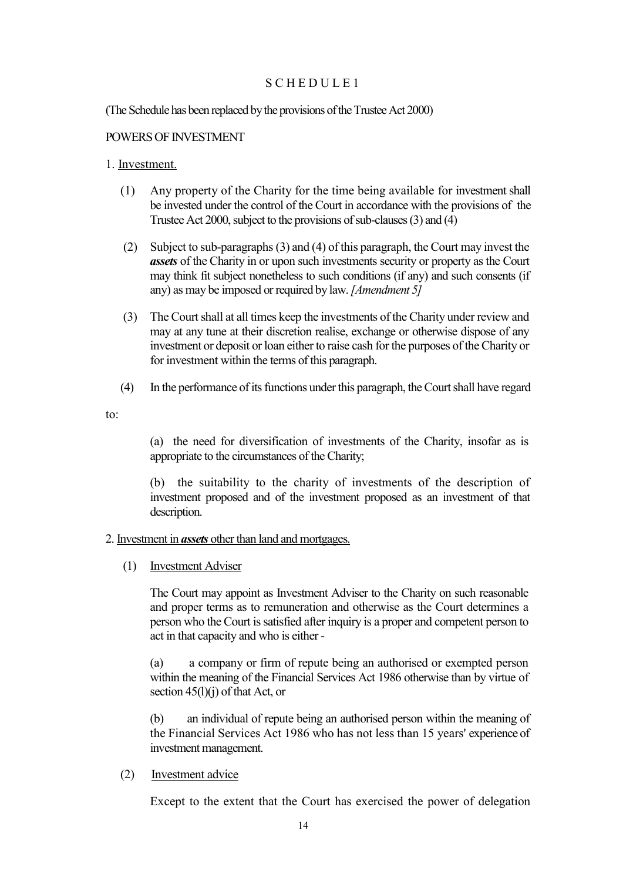#### SCHEDULE 1

(The Schedule has been replaced by the provisions of the Trustee Act 2000)

#### POWERS OF INVESTMENT

#### 1. Investment.

- (1) Any property of the Charity for the time being available for investment shall be invested under the control of the Court in accordance with the provisions of the Trustee Act 2000, subject to the provisions of sub-clauses (3) and (4)
- (2) Subject to sub-paragraphs (3) and (4) of this paragraph, the Court may invest the *assets* of the Charity in or upon such investments security or property as the Court may think fit subject nonetheless to such conditions (if any) and such consents (if any) as may be imposed or required by law.*[Amendment 5]*
- (3) The Court shall at all times keep the investments of the Charity under review and may at any tune at their discretion realise, exchange or otherwise dispose of any investment or deposit or loan either to raise cash for the purposes of the Charity or for investment within the terms of this paragraph.
- (4) In the performance of its functions under this paragraph, the Court shall have regard

to:

(a) the need for diversification of investments of the Charity, insofar as is appropriate to the circumstances of the Charity;

(b) the suitability to the charity of investments of the description of investment proposed and of the investment proposed as an investment of that description.

#### 2. Investment in *assets* other than land and mortgages.

(1) Investment Adviser

The Court may appoint as Investment Adviser to the Charity on such reasonable and proper terms as to remuneration and otherwise as the Court determines a person who the Court is satisfied after inquiry is a proper and competent person to act in that capacity and who is either -

(a) a company or firm of repute being an authorised or exempted person within the meaning of the Financial Services Act 1986 otherwise than by virtue of section  $45(l)(i)$  of that Act, or

(b) an individual of repute being an authorised person within the meaning of the Financial Services Act 1986 who has not less than 15 years' experience of investment management.

#### (2) Investment advice

Except to the extent that the Court has exercised the power of delegation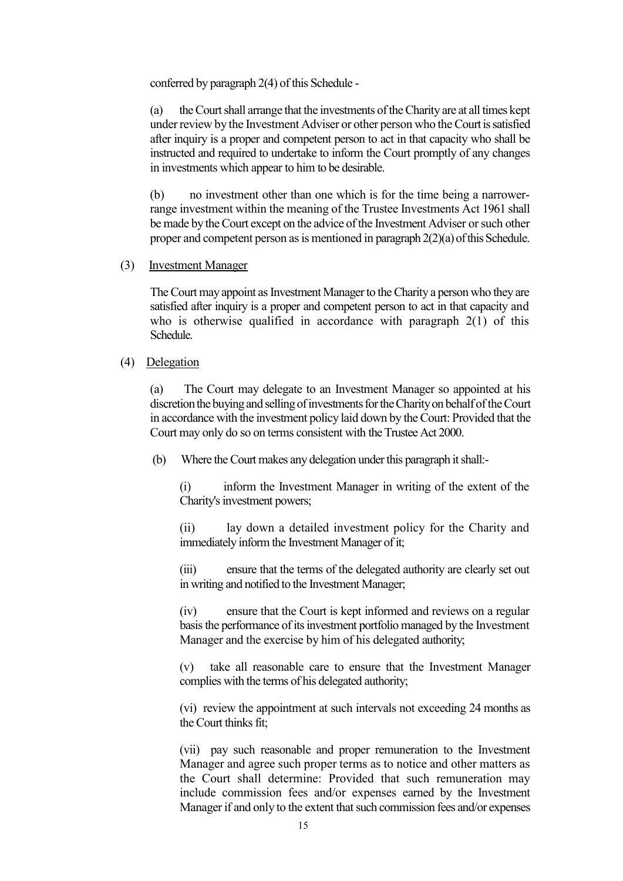conferred by paragraph 2(4) of this Schedule -

(a) the Court shall arrange that the investments of the Charity are at all times kept under review by the Investment Adviser or other person who the Court is satisfied after inquiry is a proper and competent person to act in that capacity who shall be instructed and required to undertake to inform the Court promptly of any changes in investments which appear to him to be desirable.

(b) no investment other than one which is for the time being a narrowerrange investment within the meaning of the Trustee Investments Act 1961 shall be made by the Court except on the advice of the Investment Adviser or such other proper and competent person as is mentioned in paragraph 2(2)(a) of this Schedule.

#### (3) Investment Manager

The Court may appoint as Investment Manager to the Charity a person who they are satisfied after inquiry is a proper and competent person to act in that capacity and who is otherwise qualified in accordance with paragraph 2(1) of this Schedule.

#### (4) Delegation

(a) The Court may delegate to an Investment Manager so appointed at his discretion the buying and selling of investments for the Charity on behalf of the Court in accordance with the investment policy laid down by the Court: Provided that the Court may only do so on terms consistent with the Trustee Act 2000.

(b) Where the Court makes any delegation under this paragraph it shall:-

(i) inform the Investment Manager in writing of the extent of the Charity's investment powers;

(ii) lay down a detailed investment policy for the Charity and immediately inform the Investment Manager of it;

(iii) ensure that the terms of the delegated authority are clearly set out in writing and notified to the Investment Manager;

(iv) ensure that the Court is kept informed and reviews on a regular basis the performance of its investment portfolio managed by the Investment Manager and the exercise by him of his delegated authority;

(v) take all reasonable care to ensure that the Investment Manager complies with the terms of his delegated authority;

(vi) review the appointment at such intervals not exceeding 24 months as the Court thinks fit;

(vii) pay such reasonable and proper remuneration to the Investment Manager and agree such proper terms as to notice and other matters as the Court shall determine: Provided that such remuneration may include commission fees and/or expenses earned by the Investment Manager if and only to the extent that such commission fees and/or expenses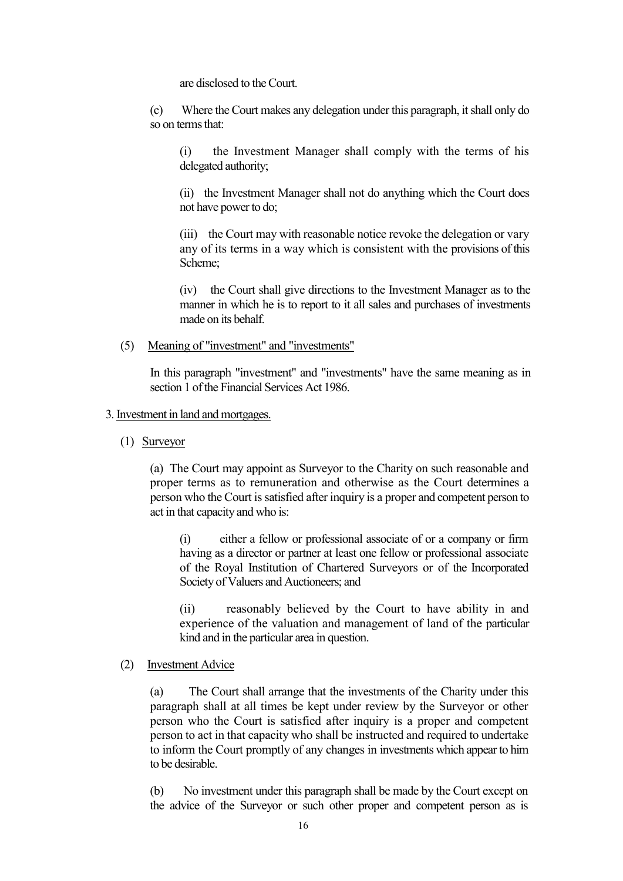are disclosed to the Court.

(c) Where the Court makes any delegation under this paragraph, it shall only do so on terms that:

(i) the Investment Manager shall comply with the terms of his delegated authority;

(ii) the Investment Manager shall not do anything which the Court does not have power to do;

(iii) the Court may with reasonable notice revoke the delegation or vary any of its terms in a way which is consistent with the provisions of this Scheme;

(iv) the Court shall give directions to the Investment Manager as to the manner in which he is to report to it all sales and purchases of investments made on its behalf.

(5) Meaning of "investment" and "investments"

In this paragraph "investment" and "investments" have the same meaning as in section 1 of the Financial Services Act 1986.

#### 3. Investment in land and mortgages.

(1) Surveyor

(a) The Court may appoint as Surveyor to the Charity on such reasonable and proper terms as to remuneration and otherwise as the Court determines a person who the Court is satisfied after inquiry is a proper and competent person to act in that capacity and who is:

(i) either a fellow or professional associate of or a company or firm having as a director or partner at least one fellow or professional associate of the Royal Institution of Chartered Surveyors or of the Incorporated Society of Valuers and Auctioneers; and

(ii) reasonably believed by the Court to have ability in and experience of the valuation and management of land of the particular kind and in the particular area in question.

#### (2) Investment Advice

(a) The Court shall arrange that the investments of the Charity under this paragraph shall at all times be kept under review by the Surveyor or other person who the Court is satisfied after inquiry is a proper and competent person to act in that capacity who shall be instructed and required to undertake to inform the Court promptly of any changes in investments which appear to him to be desirable.

(b) No investment under this paragraph shall be made by the Court except on the advice of the Surveyor or such other proper and competent person as is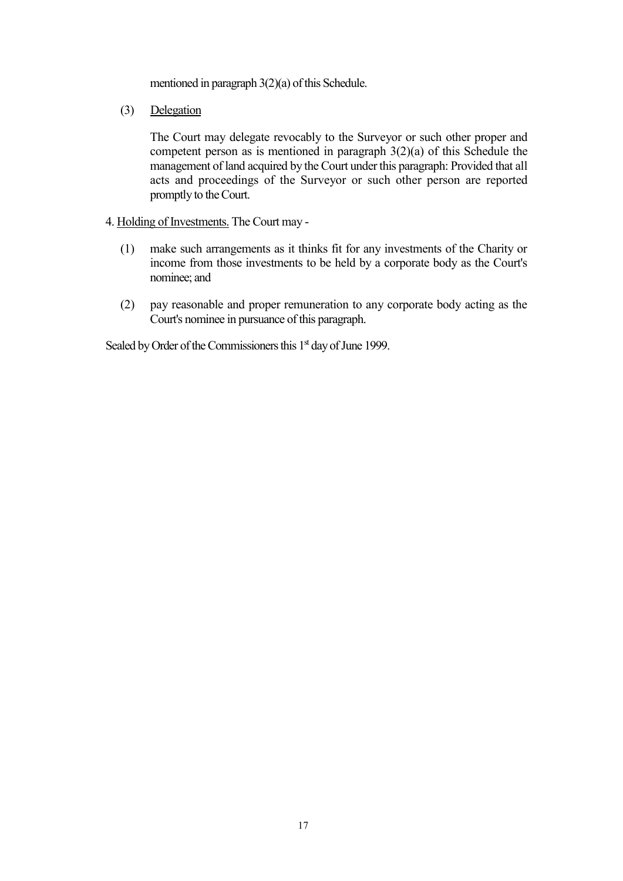mentioned in paragraph 3(2)(a) of this Schedule.

(3) Delegation

The Court may delegate revocably to the Surveyor or such other proper and competent person as is mentioned in paragraph 3(2)(a) of this Schedule the management of land acquired by the Court under this paragraph: Provided that all acts and proceedings of the Surveyor or such other person are reported promptly to the Court.

- 4. Holding of Investments. The Court may
	- (1) make such arrangements as it thinks fit for any investments of the Charity or income from those investments to be held by a corporate body as the Court's nominee; and
	- (2) pay reasonable and proper remuneration to any corporate body acting as the Court's nominee in pursuance of this paragraph.

Sealed by Order of the Commissioners this 1<sup>st</sup> day of June 1999.